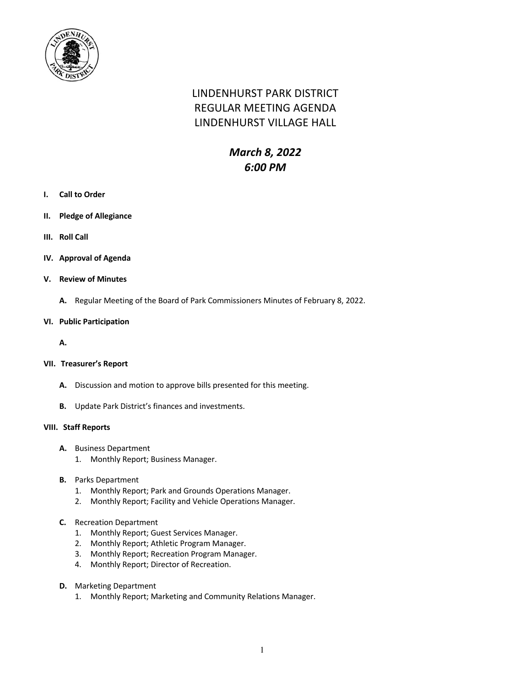

# LINDENHURST PARK DISTRICT REGULAR MEETING AGENDA LINDENHURST VILLAGE HALL

## *March 8, 2022 6:00 PM*

- **I. Call to Order**
- **II. Pledge of Allegiance**
- **III. Roll Call**
- **IV. Approval of Agenda**
- **V. Review of Minutes**
	- **A.** Regular Meeting of the Board of Park Commissioners Minutes of February 8, 2022.
- **VI. Public Participation**
	- **A.**

#### **VII. Treasurer's Report**

- **A.** Discussion and motion to approve bills presented for this meeting.
- **B.** Update Park District's finances and investments.

#### **VIII. Staff Reports**

- **A.** Business Department
	- 1. Monthly Report; Business Manager.
- **B.** Parks Department
	- 1. Monthly Report; Park and Grounds Operations Manager.
	- 2. Monthly Report; Facility and Vehicle Operations Manager.
- **C.** Recreation Department
	- 1. Monthly Report; Guest Services Manager.
	- 2. Monthly Report; Athletic Program Manager.
	- 3. Monthly Report; Recreation Program Manager.
	- 4. Monthly Report; Director of Recreation.
- **D.** Marketing Department
	- 1. Monthly Report; Marketing and Community Relations Manager.